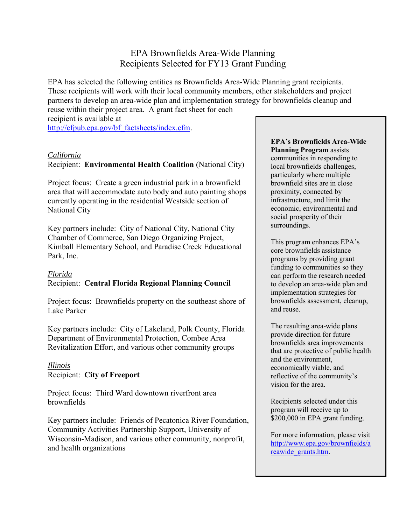# EPA Brownfields Area-Wide Planning Recipients Selected for FY13 Grant Funding

EPA has selected the following entities as Brownfields Area-Wide Planning grant recipients. These recipients will work with their local community members, other stakeholders and project partners to develop an area-wide plan and implementation strategy for brownfields cleanup and reuse within their project area. A grant fact sheet for each

recipient is available at [http://cfpub.epa.gov/bf\\_factsheets/index.cfm.](http://cfpub.epa.gov/bf_factsheets/index.cfm)

#### *California*

### Recipient: **Environmental Health Coalition** (National City)

Project focus: Create a green industrial park in a brownfield area that will accommodate auto body and auto painting shops currently operating in the residential Westside section of National City

Key partners include: City of National City, National City Chamber of Commerce, San Diego Organizing Project, Kimball Elementary School, and Paradise Creek Educational Park, Inc.

#### *Florida*  Recipient: **Central Florida Regional Planning Council**

Project focus: Brownfields property on the southeast shore of Lake Parker

Key partners include:City of Lakeland, Polk County, Florida Department of Environmental Protection, Combee Area Revitalization Effort, and various other community groups

*Illinois*  Recipient: **City of Freeport** 

Project focus: Third Ward downtown riverfront area brownfields

Key partners include: Friends of Pecatonica River Foundation, Community Activities Partnership Support, University of Wisconsin-Madison, and various other community, nonprofit, and health organizations

#### **EPA's Brownfields Area-Wide Planning Program** assists communities in responding to local brownfields challenges, particularly where multiple brownfield sites are in close proximity, connected by infrastructure, and limit the economic, environmental and social prosperity of their surroundings.

This program enhances EPA's core brownfields assistance programs by providing grant funding to communities so they can perform the research needed to develop an area-wide plan and implementation strategies for brownfields assessment, cleanup, and reuse.

The resulting area-wide plans provide direction for future brownfields area improvements that are protective of public health and the environment, economically viable, and reflective of the community's vision for the area.

Recipients selected under this program will receive up to \$200,000 in EPA grant funding.

For more information, please visit [http://www.epa.gov/brownfields/a](http://www.epa.gov/brownfields/areawide_grants.htm) [reawide\\_grants.htm.](http://www.epa.gov/brownfields/areawide_grants.htm)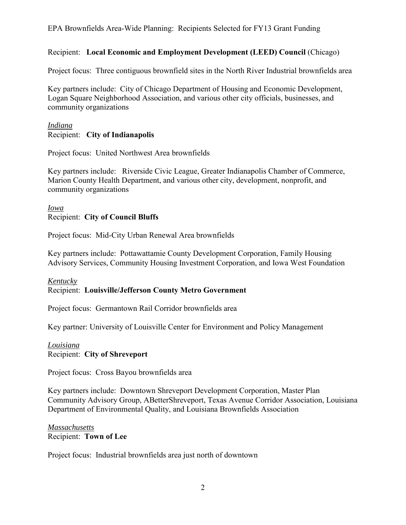### EPA Brownfields Area-Wide Planning: Recipients Selected for FY13 Grant Funding

## Recipient: **Local Economic and Employment Development (LEED) Council** (Chicago)

Project focus: Three contiguous brownfield sites in the North River Industrial brownfields area

Key partners include: City of Chicago Department of Housing and Economic Development, Logan Square Neighborhood Association, and various other city officials, businesses, and community organizations

### *Indiana* Recipient: **City of Indianapolis**

Project focus: United Northwest Area brownfields

Key partners include: Riverside Civic League, Greater Indianapolis Chamber of Commerce, Marion County Health Department, and various other city, development, nonprofit, and community organizations

## *Iowa* Recipient: **City of Council Bluffs**

Project focus: Mid-City Urban Renewal Area brownfields

Key partners include: Pottawattamie County Development Corporation, Family Housing Advisory Services, Community Housing Investment Corporation, and Iowa West Foundation

## *Kentucky* Recipient: **Louisville/Jefferson County Metro Government**

Project focus: Germantown Rail Corridor brownfields area

Key partner: University of Louisville Center for Environment and Policy Management

## *Louisiana*

Recipient: **City of Shreveport** 

Project focus: Cross Bayou brownfields area

Key partners include: Downtown Shreveport Development Corporation, Master Plan Community Advisory Group, ABetterShreveport, Texas Avenue Corridor Association, Louisiana Department of Environmental Quality, and Louisiana Brownfields Association

#### *Massachusetts* Recipient: **Town of Lee**

Project focus: Industrial brownfields area just north of downtown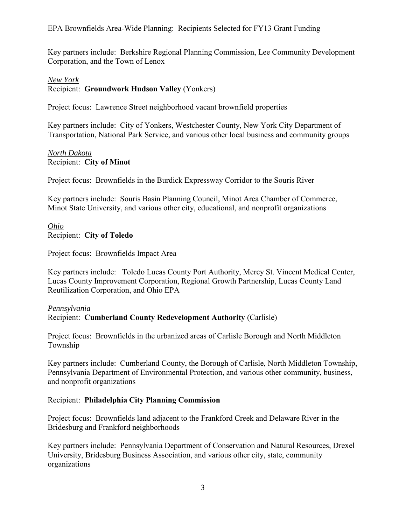Key partners include: Berkshire Regional Planning Commission, Lee Community Development Corporation, and the Town of Lenox

## *New York*

Recipient: **Groundwork Hudson Valley** (Yonkers)

Project focus: Lawrence Street neighborhood vacant brownfield properties

Key partners include: City of Yonkers, Westchester County, New York City Department of Transportation, National Park Service, and various other local business and community groups

## *North Dakota* Recipient: **City of Minot**

Project focus: Brownfields in the Burdick Expressway Corridor to the Souris River

Key partners include: Souris Basin Planning Council, Minot Area Chamber of Commerce, Minot State University, and various other city, educational, and nonprofit organizations

## *Ohio* Recipient: **City of Toledo**

Project focus: Brownfields Impact Area

Key partners include: Toledo Lucas County Port Authority, Mercy St. Vincent Medical Center, Lucas County Improvement Corporation, Regional Growth Partnership, Lucas County Land Reutilization Corporation, and Ohio EPA

## *Pennsylvania*

Recipient: **Cumberland County Redevelopment Authority** (Carlisle)

Project focus: Brownfields in the urbanized areas of Carlisle Borough and North Middleton Township

Key partners include: Cumberland County, the Borough of Carlisle, North Middleton Township, Pennsylvania Department of Environmental Protection, and various other community, business, and nonprofit organizations

## Recipient: **Philadelphia City Planning Commission**

Project focus: Brownfields land adjacent to the Frankford Creek and Delaware River in the Bridesburg and Frankford neighborhoods

Key partners include: Pennsylvania Department of Conservation and Natural Resources, Drexel University, Bridesburg Business Association, and various other city, state, community organizations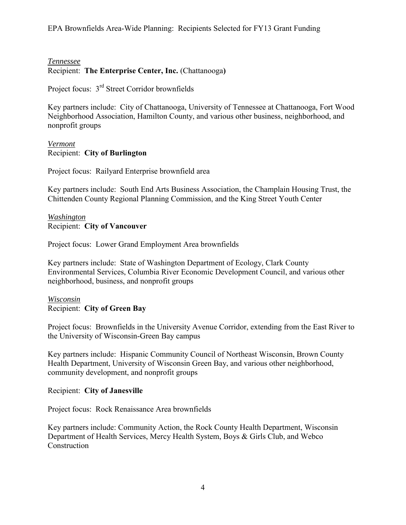## EPA Brownfields Area-Wide Planning: Recipients Selected for FY13 Grant Funding

#### *Tennessee* Recipient: **The Enterprise Center, Inc.** (Chattanooga**)**

Project focus: 3rd Street Corridor brownfields

Key partners include: City of Chattanooga, University of Tennessee at Chattanooga, Fort Wood Neighborhood Association, Hamilton County, and various other business, neighborhood, and nonprofit groups

## *Vermont* Recipient: **City of Burlington**

Project focus: Railyard Enterprise brownfield area

Key partners include: South End Arts Business Association, the Champlain Housing Trust, the Chittenden County Regional Planning Commission, and the King Street Youth Center

### *Washington* Recipient: **City of Vancouver**

Project focus: Lower Grand Employment Area brownfields

Key partners include: State of Washington Department of Ecology, Clark County Environmental Services, Columbia River Economic Development Council, and various other neighborhood, business, and nonprofit groups

*Wisconsin* Recipient: **City of Green Bay** 

Project focus: Brownfields in the University Avenue Corridor, extending from the East River to the University of Wisconsin-Green Bay campus

Key partners include: Hispanic Community Council of Northeast Wisconsin, Brown County Health Department, University of Wisconsin Green Bay, and various other neighborhood, community development, and nonprofit groups

### Recipient: **City of Janesville**

Project focus: Rock Renaissance Area brownfields

Key partners include: Community Action, the Rock County Health Department, Wisconsin Department of Health Services, Mercy Health System, Boys & Girls Club, and Webco Construction